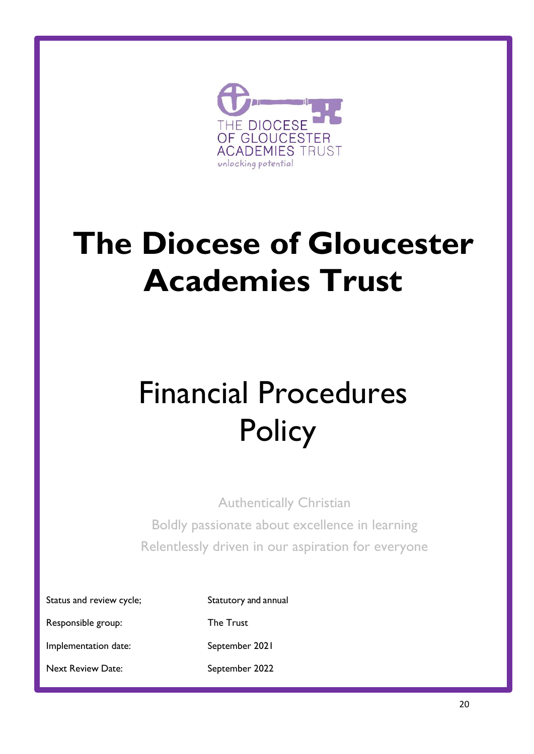

# **The Diocese of Gloucester Academies Trust**

# Financial Procedures **Policy**

Authentically Christian Boldly passionate about excellence in learning Relentlessly driven in our aspiration for everyone

Status and review cycle; Statutory and annual

Responsible group: The Trust

Implementation date: September 2021

Next Review Date: September 2022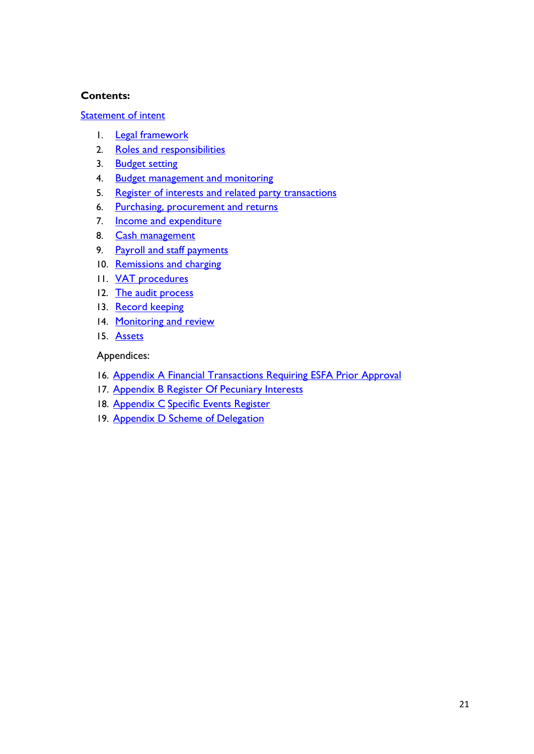#### **Contents:**

#### [Statement of intent](#page-2-0)

- 1. **[Legal framework](#page-3-0)**
- 2. [Roles and responsibilities](#page-3-1)
- 3. [Budget setting](#page-8-0)
- 4. [Budget management and monitoring](#page-9-0)
- 5. [Register of interests](#page-10-0) and related party transactions
- 6. [Purchasing, procurement and returns](#page-11-0)
- 7. **[Income and expenditure](#page-13-0)**
- 8. [Cash management](#page-14-0)
- 9. [Payroll and staff payments](#page-15-0)
- 10. [Remissions and charging](#page-16-0)
- 11. [VAT procedures](#page-16-1)
- 12. [The audit process](#page-17-0)
- 13. [Record keeping](#page-18-0)
- 14. [Monitoring and review](#page-19-0)
- 15. Assets

#### Appendices:

- 16. Appendix A Financial Transactions Requiring ESFA Prior Approval
- 17. Appendix B [Register Of Pecuniary Interests](#page-20-0)
- 18. Appendix C [Specific Events Register](#page-23-0)
- 19. Appendix D Scheme of Delegation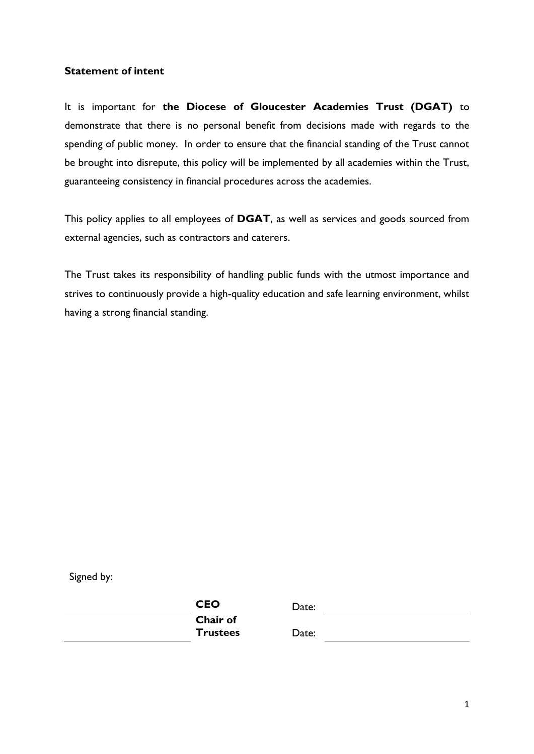#### <span id="page-2-0"></span>**Statement of intent**

It is important for **the Diocese of Gloucester Academies Trust (DGAT)** to demonstrate that there is no personal benefit from decisions made with regards to the spending of public money. In order to ensure that the financial standing of the Trust cannot be brought into disrepute, this policy will be implemented by all academies within the Trust, guaranteeing consistency in financial procedures across the academies.

This policy applies to all employees of **DGAT**, as well as services and goods sourced from external agencies, such as contractors and caterers.

The Trust takes its responsibility of handling public funds with the utmost importance and strives to continuously provide a high-quality education and safe learning environment, whilst having a strong financial standing.

Signed by:

| <b>CEO</b>      |
|-----------------|
| <b>Chair of</b> |
| <b>Trustees</b> |

Date: <u>\_\_\_\_\_\_\_\_\_\_\_\_\_\_\_\_\_\_\_\_\_\_\_\_</u>

**Trustees** Date: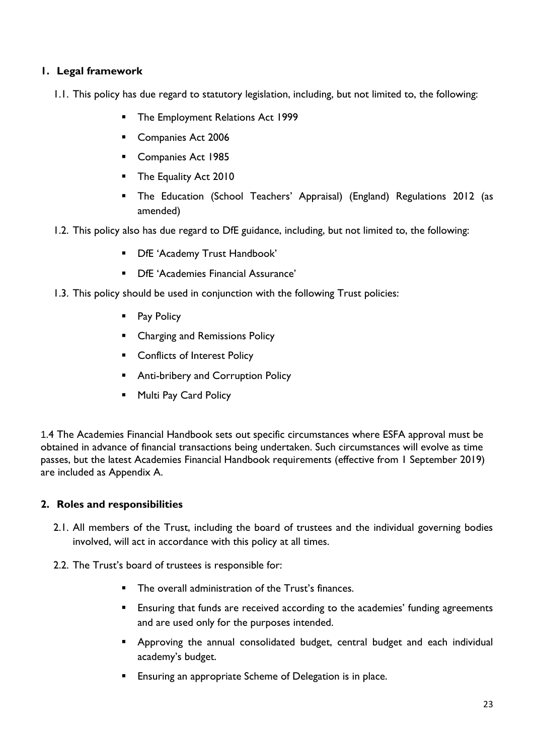# <span id="page-3-0"></span>**1. Legal framework**

- 1.1. This policy has due regard to statutory legislation, including, but not limited to, the following:
	- The Employment Relations Act 1999
	- Companies Act 2006
	- Companies Act 1985
	- **•** The Equality Act 2010
	- The Education (School Teachers' Appraisal) (England) Regulations 2012 (as amended)
- 1.2. This policy also has due regard to DfE guidance, including, but not limited to, the following:
	- DfE 'Academy Trust Handbook'
	- DfE 'Academies Financial Assurance'
- 1.3. This policy should be used in conjunction with the following Trust policies:
	- Pay Policy
	- Charging and Remissions Policy
	- Conflicts of Interest Policy
	- Anti-bribery and Corruption Policy
	- Multi Pay Card Policy

1.4 The Academies Financial Handbook sets out specific circumstances where ESFA approval must be obtained in advance of financial transactions being undertaken. Such circumstances will evolve as time passes, but the latest Academies Financial Handbook requirements (effective from 1 September 2019) are included as Appendix A.

#### <span id="page-3-1"></span>**2. Roles and responsibilities**

- 2.1. All members of the Trust, including the board of trustees and the individual governing bodies involved, will act in accordance with this policy at all times.
- 2.2. The Trust's board of trustees is responsible for:
	- The overall administration of the Trust's finances.
	- **Ensuring that funds are received according to the academies' funding agreements** and are used only for the purposes intended.
	- Approving the annual consolidated budget, central budget and each individual academy's budget.
	- Ensuring an appropriate Scheme of Delegation is in place.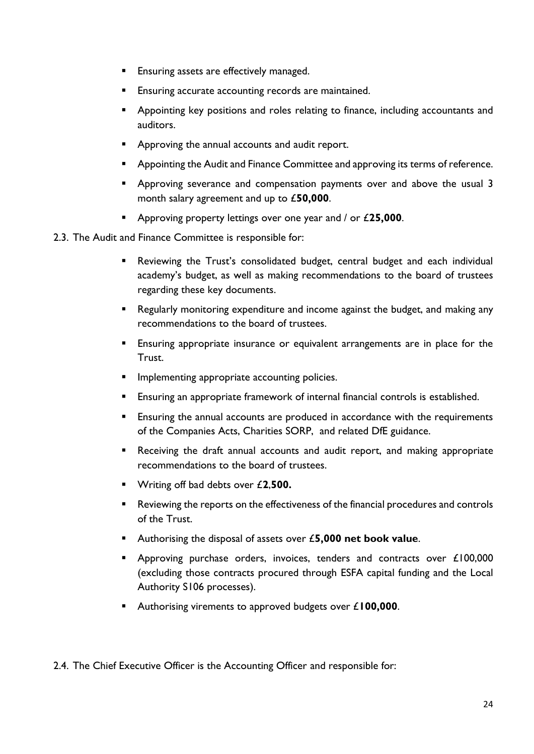- **Ensuring assets are effectively managed.**
- **Ensuring accurate accounting records are maintained.**
- **E** Appointing key positions and roles relating to finance, including accountants and auditors.
- Approving the annual accounts and audit report.
- Appointing the Audit and Finance Committee and approving its terms of reference.
- **E** Approving severance and compensation payments over and above the usual 3 month salary agreement and up to £**50,000**.
- Approving property lettings over one year and / or £**25,000**.
- 2.3. The Audit and Finance Committee is responsible for:
	- Reviewing the Trust's consolidated budget, central budget and each individual academy's budget, as well as making recommendations to the board of trustees regarding these key documents.
	- Regularly monitoring expenditure and income against the budget, and making any recommendations to the board of trustees.
	- **Ensuring appropriate insurance or equivalent arrangements are in place for the** Trust.
	- **■** Implementing appropriate accounting policies.
	- Ensuring an appropriate framework of internal financial controls is established.
	- Ensuring the annual accounts are produced in accordance with the requirements of the Companies Acts, Charities SORP, and related DfE guidance.
	- Receiving the draft annual accounts and audit report, and making appropriate recommendations to the board of trustees.
	- Writing off bad debts over £**2**,**500.**
	- Reviewing the reports on the effectiveness of the financial procedures and controls of the Trust.
	- Authorising the disposal of assets over £**5,000 net book value**.
	- Approving purchase orders, invoices, tenders and contracts over £100,000 (excluding those contracts procured through ESFA capital funding and the Local Authority S106 processes).
	- Authorising virements to approved budgets over £**100,000**.

2.4. The Chief Executive Officer is the Accounting Officer and responsible for: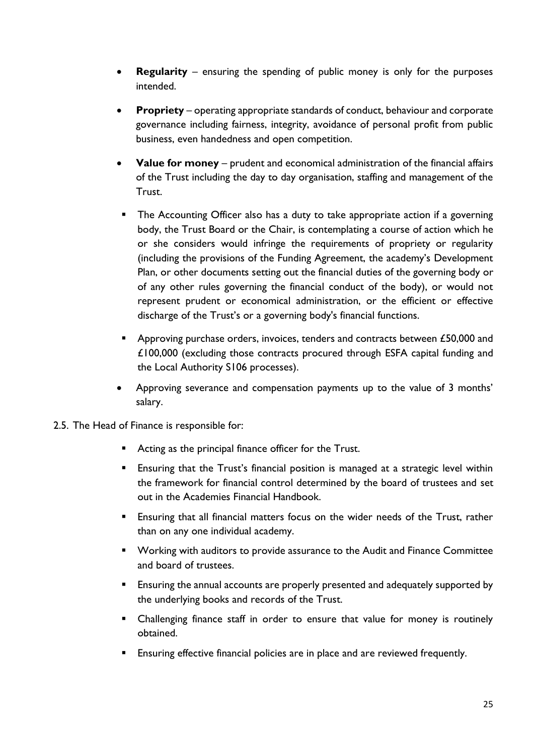- **Regularity** ensuring the spending of public money is only for the purposes intended.
- **Propriety** operating appropriate standards of conduct, behaviour and corporate governance including fairness, integrity, avoidance of personal profit from public business, even handedness and open competition.
- **Value for money** prudent and economical administration of the financial affairs of the Trust including the day to day organisation, staffing and management of the Trust.
- The Accounting Officer also has a duty to take appropriate action if a governing body, the Trust Board or the Chair, is contemplating a course of action which he or she considers would infringe the requirements of propriety or regularity (including the provisions of the Funding Agreement, the academy's Development Plan, or other documents setting out the financial duties of the governing body or of any other rules governing the financial conduct of the body), or would not represent prudent or economical administration, or the efficient or effective discharge of the Trust's or a governing body's financial functions.
- Approving purchase orders, invoices, tenders and contracts between £50,000 and £100,000 (excluding those contracts procured through ESFA capital funding and the Local Authority S106 processes).
- Approving severance and compensation payments up to the value of 3 months' salary.
- 2.5. The Head of Finance is responsible for:
	- Acting as the principal finance officer for the Trust.
	- **Ensuring that the Trust's financial position is managed at a strategic level within** the framework for financial control determined by the board of trustees and set out in the Academies Financial Handbook.
	- **Ensuring that all financial matters focus on the wider needs of the Trust, rather** than on any one individual academy.
	- Working with auditors to provide assurance to the Audit and Finance Committee and board of trustees.
	- **Ensuring the annual accounts are properly presented and adequately supported by** the underlying books and records of the Trust.
	- Challenging finance staff in order to ensure that value for money is routinely obtained.
	- **Ensuring effective financial policies are in place and are reviewed frequently.**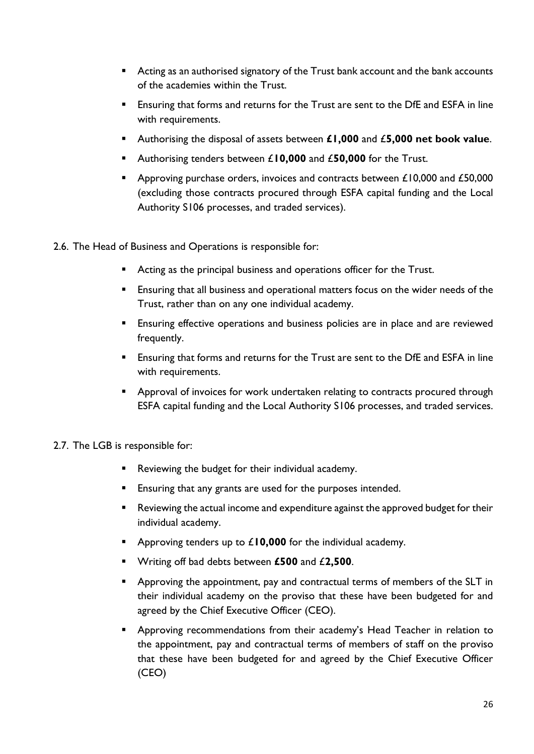- Acting as an authorised signatory of the Trust bank account and the bank accounts of the academies within the Trust.
- Ensuring that forms and returns for the Trust are sent to the DfE and ESFA in line with requirements.
- Authorising the disposal of assets between **£1,000** and £**5,000 net book value**.
- Authorising tenders between £10,000 and £50,000 for the Trust.
- Approving purchase orders, invoices and contracts between £10,000 and £50,000 (excluding those contracts procured through ESFA capital funding and the Local Authority S106 processes, and traded services).
- 2.6. The Head of Business and Operations is responsible for:
	- Acting as the principal business and operations officer for the Trust.
	- **Ensuring that all business and operational matters focus on the wider needs of the** Trust, rather than on any one individual academy.
	- **Ensuring effective operations and business policies are in place and are reviewed** frequently.
	- Ensuring that forms and returns for the Trust are sent to the DfE and ESFA in line with requirements.
	- Approval of invoices for work undertaken relating to contracts procured through ESFA capital funding and the Local Authority S106 processes, and traded services.

#### 2.7. The LGB is responsible for:

- Reviewing the budget for their individual academy.
- **Ensuring that any grants are used for the purposes intended.**
- Reviewing the actual income and expenditure against the approved budget for their individual academy.
- Approving tenders up to £10,000 for the individual academy.
- Writing off bad debts between **£500** and £**2,500**.
- Approving the appointment, pay and contractual terms of members of the SLT in their individual academy on the proviso that these have been budgeted for and agreed by the Chief Executive Officer (CEO).
- **•** Approving recommendations from their academy's Head Teacher in relation to the appointment, pay and contractual terms of members of staff on the proviso that these have been budgeted for and agreed by the Chief Executive Officer (CEO)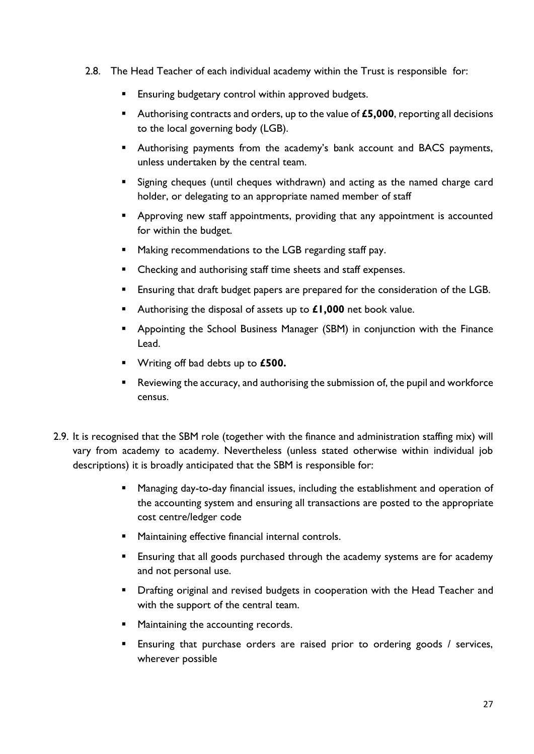- 2.8. The Head Teacher of each individual academy within the Trust is responsible for:
	- Ensuring budgetary control within approved budgets.
	- Authorising contracts and orders, up to the value of £5,000, reporting all decisions to the local governing body (LGB).
	- Authorising payments from the academy's bank account and BACS payments, unless undertaken by the central team.
	- **E** Signing cheques (until cheques withdrawn) and acting as the named charge card holder, or delegating to an appropriate named member of staff
	- **E** Approving new staff appointments, providing that any appointment is accounted for within the budget.
	- Making recommendations to the LGB regarding staff pay.
	- Checking and authorising staff time sheets and staff expenses.
	- **Ensuring that draft budget papers are prepared for the consideration of the LGB.**
	- Authorising the disposal of assets up to £1,000 net book value.
	- Appointing the School Business Manager (SBM) in conjunction with the Finance Lead.
	- Writing off bad debts up to **£500.**
	- Reviewing the accuracy, and authorising the submission of, the pupil and workforce census.
- 2.9. It is recognised that the SBM role (together with the finance and administration staffing mix) will vary from academy to academy. Nevertheless (unless stated otherwise within individual job descriptions) it is broadly anticipated that the SBM is responsible for:
	- Managing day-to-day financial issues, including the establishment and operation of the accounting system and ensuring all transactions are posted to the appropriate cost centre/ledger code
	- **■** Maintaining effective financial internal controls.
	- **Ensuring that all goods purchased through the academy systems are for academy** and not personal use.
	- **•** Drafting original and revised budgets in cooperation with the Head Teacher and with the support of the central team.
	- Maintaining the accounting records.
	- **Ensuring that purchase orders are raised prior to ordering goods / services,** wherever possible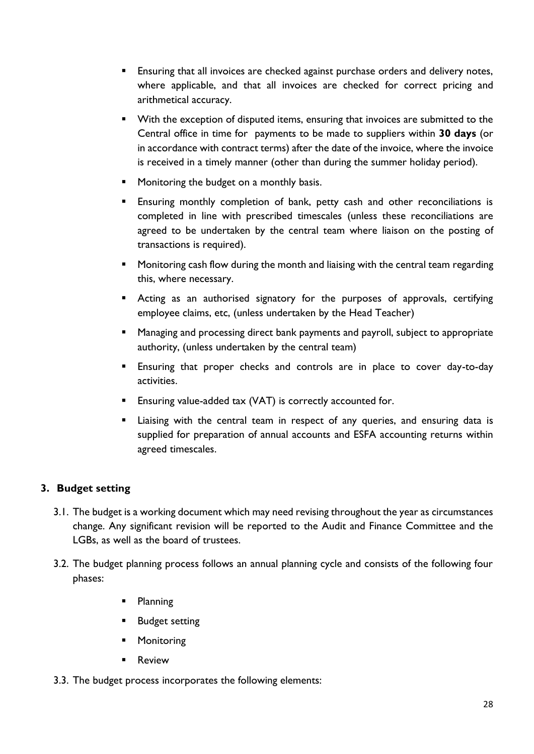- **Ensuring that all invoices are checked against purchase orders and delivery notes,** where applicable, and that all invoices are checked for correct pricing and arithmetical accuracy.
- With the exception of disputed items, ensuring that invoices are submitted to the Central office in time for payments to be made to suppliers within **30 days** (or in accordance with contract terms) after the date of the invoice, where the invoice is received in a timely manner (other than during the summer holiday period).
- Monitoring the budget on a monthly basis.
- **Ensuring monthly completion of bank, petty cash and other reconciliations is** completed in line with prescribed timescales (unless these reconciliations are agreed to be undertaken by the central team where liaison on the posting of transactions is required).
- Monitoring cash flow during the month and liaising with the central team regarding this, where necessary.
- **E** Acting as an authorised signatory for the purposes of approvals, certifying employee claims, etc, (unless undertaken by the Head Teacher)
- Managing and processing direct bank payments and payroll, subject to appropriate authority, (unless undertaken by the central team)
- **Ensuring that proper checks and controls are in place to cover day-to-day** activities.
- Ensuring value-added tax (VAT) is correctly accounted for.
- **EXTE:** Liaising with the central team in respect of any queries, and ensuring data is supplied for preparation of annual accounts and ESFA accounting returns within agreed timescales.

# <span id="page-8-0"></span>**3. Budget setting**

- 3.1. The budget is a working document which may need revising throughout the year as circumstances change. Any significant revision will be reported to the Audit and Finance Committee and the LGBs, as well as the board of trustees.
- 3.2. The budget planning process follows an annual planning cycle and consists of the following four phases:
	- Planning
	- Budget setting
	- Monitoring
	- Review
- 3.3. The budget process incorporates the following elements: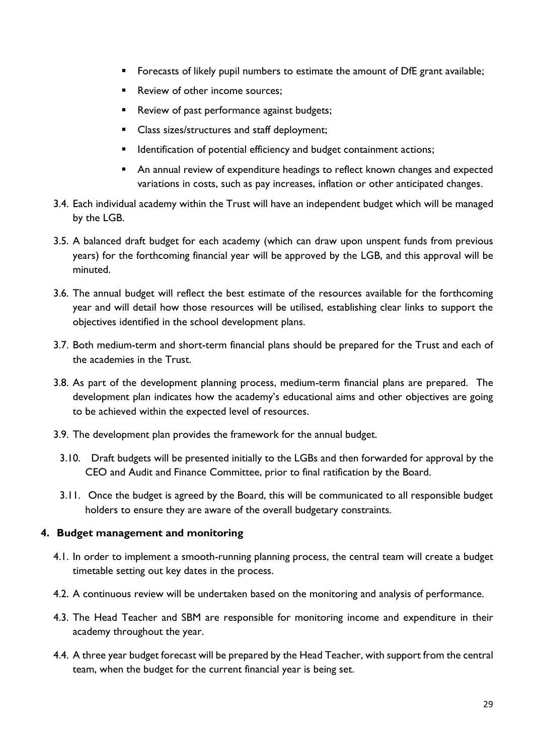- **EXEDENT** Forecasts of likely pupil numbers to estimate the amount of DfE grant available;
- Review of other income sources;
- Review of past performance against budgets;
- Class sizes/structures and staff deployment;
- Identification of potential efficiency and budget containment actions;
- An annual review of expenditure headings to reflect known changes and expected variations in costs, such as pay increases, inflation or other anticipated changes.
- 3.4. Each individual academy within the Trust will have an independent budget which will be managed by the LGB.
- 3.5. A balanced draft budget for each academy (which can draw upon unspent funds from previous years) for the forthcoming financial year will be approved by the LGB, and this approval will be minuted.
- 3.6. The annual budget will reflect the best estimate of the resources available for the forthcoming year and will detail how those resources will be utilised, establishing clear links to support the objectives identified in the school development plans.
- 3.7. Both medium-term and short-term financial plans should be prepared for the Trust and each of the academies in the Trust.
- 3.8. As part of the development planning process, medium-term financial plans are prepared. The development plan indicates how the academy's educational aims and other objectives are going to be achieved within the expected level of resources.
- 3.9. The development plan provides the framework for the annual budget.
	- 3.10. Draft budgets will be presented initially to the LGBs and then forwarded for approval by the CEO and Audit and Finance Committee, prior to final ratification by the Board.
- 3.11. Once the budget is agreed by the Board, this will be communicated to all responsible budget holders to ensure they are aware of the overall budgetary constraints.

#### <span id="page-9-0"></span>**4. Budget management and monitoring**

- 4.1. In order to implement a smooth-running planning process, the central team will create a budget timetable setting out key dates in the process.
- 4.2. A continuous review will be undertaken based on the monitoring and analysis of performance.
- 4.3. The Head Teacher and SBM are responsible for monitoring income and expenditure in their academy throughout the year.
- 4.4. A three year budget forecast will be prepared by the Head Teacher, with support from the central team, when the budget for the current financial year is being set.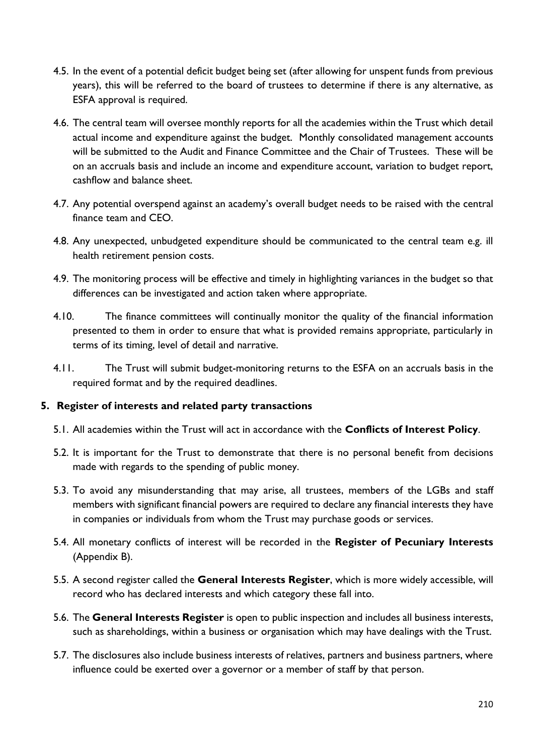- 4.5. In the event of a potential deficit budget being set (after allowing for unspent funds from previous years), this will be referred to the board of trustees to determine if there is any alternative, as ESFA approval is required.
- 4.6. The central team will oversee monthly reports for all the academies within the Trust which detail actual income and expenditure against the budget. Monthly consolidated management accounts will be submitted to the Audit and Finance Committee and the Chair of Trustees. These will be on an accruals basis and include an income and expenditure account, variation to budget report, cashflow and balance sheet.
- 4.7. Any potential overspend against an academy's overall budget needs to be raised with the central finance team and CEO.
- 4.8. Any unexpected, unbudgeted expenditure should be communicated to the central team e.g. ill health retirement pension costs.
- 4.9. The monitoring process will be effective and timely in highlighting variances in the budget so that differences can be investigated and action taken where appropriate.
- 4.10. The finance committees will continually monitor the quality of the financial information presented to them in order to ensure that what is provided remains appropriate, particularly in terms of its timing, level of detail and narrative.
- 4.11. The Trust will submit budget-monitoring returns to the ESFA on an accruals basis in the required format and by the required deadlines.

#### <span id="page-10-0"></span>**5. Register of interests and related party transactions**

- 5.1. All academies within the Trust will act in accordance with the **Conflicts of Interest Policy**.
- 5.2. It is important for the Trust to demonstrate that there is no personal benefit from decisions made with regards to the spending of public money.
- 5.3. To avoid any misunderstanding that may arise, all trustees, members of the LGBs and staff members with significant financial powers are required to declare any financial interests they have in companies or individuals from whom the Trust may purchase goods or services.
- 5.4. All monetary conflicts of interest will be recorded in the **Register of Pecuniary Interests** (Appendix B).
- 5.5. A second register called the **General Interests Register**, which is more widely accessible, will record who has declared interests and which category these fall into.
- 5.6. The **General Interests Register** is open to public inspection and includes all business interests, such as shareholdings, within a business or organisation which may have dealings with the Trust.
- 5.7. The disclosures also include business interests of relatives, partners and business partners, where influence could be exerted over a governor or a member of staff by that person.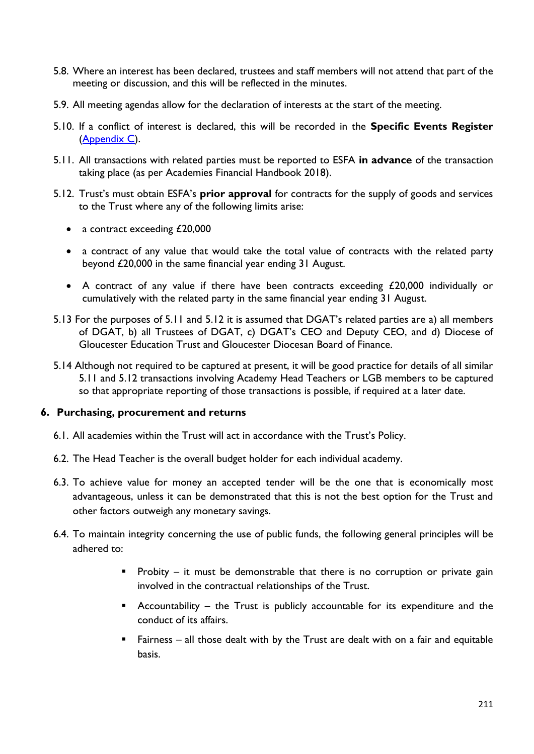- 5.8. Where an interest has been declared, trustees and staff members will not attend that part of the meeting or discussion, and this will be reflected in the minutes.
- 5.9. All meeting agendas allow for the declaration of interests at the start of the meeting.
- 5.10. If a conflict of interest is declared, this will be recorded in the **Specific Events Register**  [\(Appendix](#page-23-0) C).
- 5.11. All transactions with related parties must be reported to ESFA **in advance** of the transaction taking place (as per Academies Financial Handbook 2018).
- 5.12. Trust's must obtain ESFA's **prior approval** for contracts for the supply of goods and services to the Trust where any of the following limits arise:
	- a contract exceeding £20,000
	- a contract of any value that would take the total value of contracts with the related party beyond £20,000 in the same financial year ending 31 August.
	- A contract of any value if there have been contracts exceeding £20,000 individually or cumulatively with the related party in the same financial year ending 31 August.
- 5.13 For the purposes of 5.11 and 5.12 it is assumed that DGAT's related parties are a) all members of DGAT, b) all Trustees of DGAT, c) DGAT's CEO and Deputy CEO, and d) Diocese of Gloucester Education Trust and Gloucester Diocesan Board of Finance.
- 5.14 Although not required to be captured at present, it will be good practice for details of all similar 5.11 and 5.12 transactions involving Academy Head Teachers or LGB members to be captured so that appropriate reporting of those transactions is possible, if required at a later date.

#### <span id="page-11-0"></span>**6. Purchasing, procurement and returns**

- 6.1. All academies within the Trust will act in accordance with the Trust's Policy.
- 6.2. The Head Teacher is the overall budget holder for each individual academy.
- 6.3. To achieve value for money an accepted tender will be the one that is economically most advantageous, unless it can be demonstrated that this is not the best option for the Trust and other factors outweigh any monetary savings.
- 6.4. To maintain integrity concerning the use of public funds, the following general principles will be adhered to:
	- **•** Probity it must be demonstrable that there is no corruption or private gain involved in the contractual relationships of the Trust.
	- Accountability the Trust is publicly accountable for its expenditure and the conduct of its affairs.
	- Fairness all those dealt with by the Trust are dealt with on a fair and equitable basis.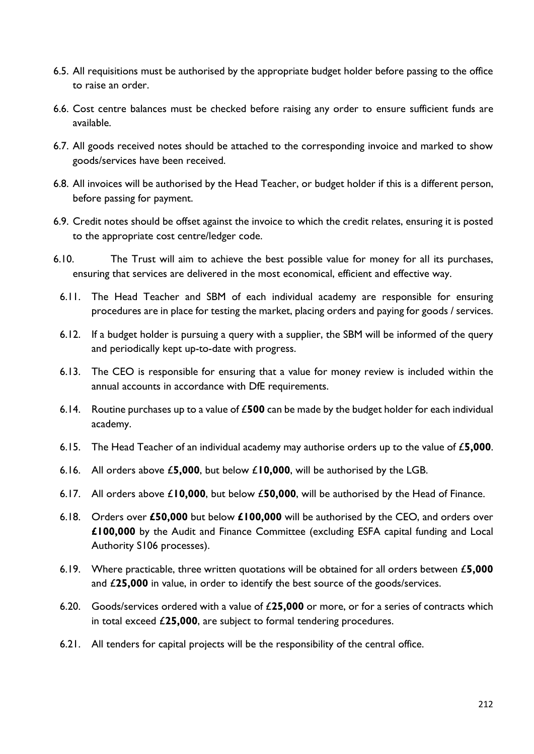- 6.5. All requisitions must be authorised by the appropriate budget holder before passing to the office to raise an order.
- 6.6. Cost centre balances must be checked before raising any order to ensure sufficient funds are available.
- 6.7. All goods received notes should be attached to the corresponding invoice and marked to show goods/services have been received.
- 6.8. All invoices will be authorised by the Head Teacher, or budget holder if this is a different person, before passing for payment.
- 6.9. Credit notes should be offset against the invoice to which the credit relates, ensuring it is posted to the appropriate cost centre/ledger code.
- 6.10. The Trust will aim to achieve the best possible value for money for all its purchases, ensuring that services are delivered in the most economical, efficient and effective way.
	- 6.11. The Head Teacher and SBM of each individual academy are responsible for ensuring procedures are in place for testing the market, placing orders and paying for goods / services.
	- 6.12. If a budget holder is pursuing a query with a supplier, the SBM will be informed of the query and periodically kept up-to-date with progress.
	- 6.13. The CEO is responsible for ensuring that a value for money review is included within the annual accounts in accordance with DfE requirements.
	- 6.14. Routine purchases up to a value of £**500** can be made by the budget holder for each individual academy.
	- 6.15. The Head Teacher of an individual academy may authorise orders up to the value of £**5,000**.
	- 6.16. All orders above £**5,000**, but below £**10,000**, will be authorised by the LGB.
	- 6.17. All orders above £**10,000**, but below £**50,000**, will be authorised by the Head of Finance.
	- 6.18. Orders over **£50,000** but below **£100,000** will be authorised by the CEO, and orders over **£100,000** by the Audit and Finance Committee (excluding ESFA capital funding and Local Authority S106 processes).
	- 6.19. Where practicable, three written quotations will be obtained for all orders between £**5,000**  and £**25,000** in value, in order to identify the best source of the goods/services.
	- 6.20. Goods/services ordered with a value of £**25,000** or more, or for a series of contracts which in total exceed £**25,000**, are subject to formal tendering procedures.
	- 6.21. All tenders for capital projects will be the responsibility of the central office.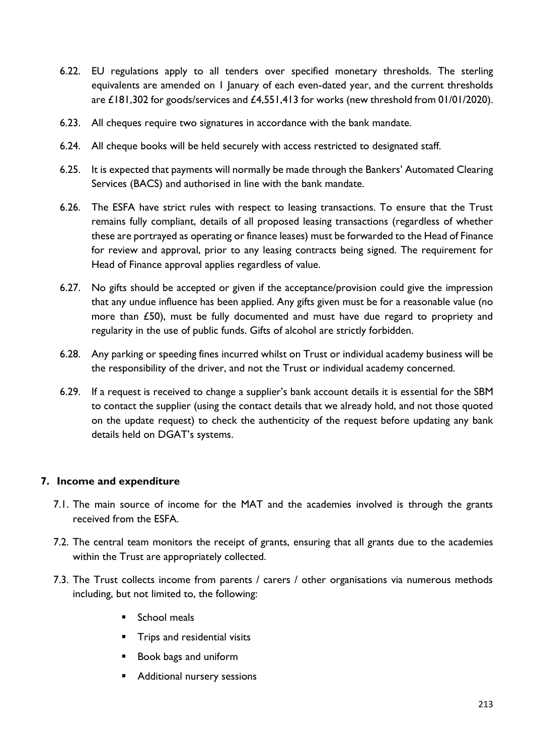- 6.22. EU regulations apply to all tenders over specified monetary thresholds. The sterling equivalents are amended on 1 January of each even-dated year, and the current thresholds are £181,302 for goods/services and £4,551,413 for works (new threshold from 01/01/2020).
- 6.23. All cheques require two signatures in accordance with the bank mandate.
- 6.24. All cheque books will be held securely with access restricted to designated staff.
- 6.25. It is expected that payments will normally be made through the Bankers' Automated Clearing Services (BACS) and authorised in line with the bank mandate.
- 6.26. The ESFA have strict rules with respect to leasing transactions. To ensure that the Trust remains fully compliant, details of all proposed leasing transactions (regardless of whether these are portrayed as operating or finance leases) must be forwarded to the Head of Finance for review and approval, prior to any leasing contracts being signed. The requirement for Head of Finance approval applies regardless of value.
- 6.27. No gifts should be accepted or given if the acceptance/provision could give the impression that any undue influence has been applied. Any gifts given must be for a reasonable value (no more than £50), must be fully documented and must have due regard to propriety and regularity in the use of public funds. Gifts of alcohol are strictly forbidden.
- 6.28. Any parking or speeding fines incurred whilst on Trust or individual academy business will be the responsibility of the driver, and not the Trust or individual academy concerned.
- 6.29. If a request is received to change a supplier's bank account details it is essential for the SBM to contact the supplier (using the contact details that we already hold, and not those quoted on the update request) to check the authenticity of the request before updating any bank details held on DGAT's systems.

# <span id="page-13-0"></span>**7. Income and expenditure**

- 7.1. The main source of income for the MAT and the academies involved is through the grants received from the ESFA.
- 7.2. The central team monitors the receipt of grants, ensuring that all grants due to the academies within the Trust are appropriately collected.
- 7.3. The Trust collects income from parents / carers / other organisations via numerous methods including, but not limited to, the following:
	- School meals
	- Trips and residential visits
	- Book bags and uniform
	- Additional nursery sessions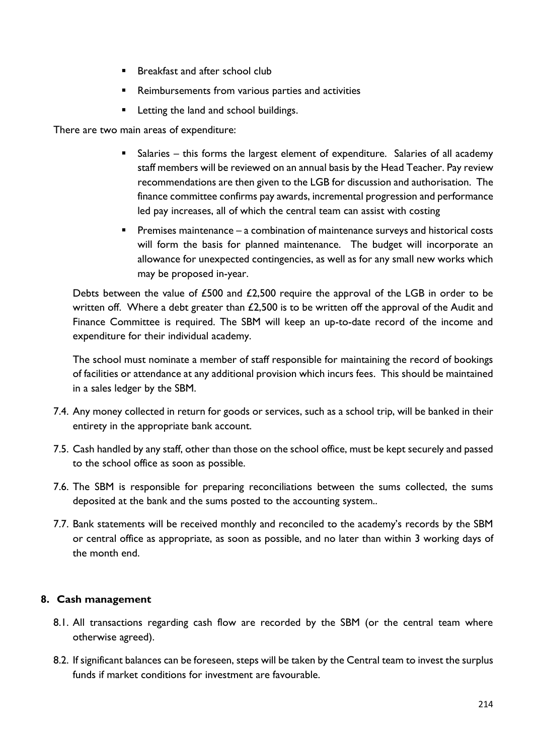- Breakfast and after school club
- Reimbursements from various parties and activities
- Letting the land and school buildings.

There are two main areas of expenditure:

- Salaries this forms the largest element of expenditure. Salaries of all academy staff members will be reviewed on an annual basis by the Head Teacher. Pay review recommendations are then given to the LGB for discussion and authorisation. The finance committee confirms pay awards, incremental progression and performance led pay increases, all of which the central team can assist with costing
- Premises maintenance a combination of maintenance surveys and historical costs will form the basis for planned maintenance. The budget will incorporate an allowance for unexpected contingencies, as well as for any small new works which may be proposed in-year.

Debts between the value of £500 and £2,500 require the approval of the LGB in order to be written off. Where a debt greater than  $£2,500$  is to be written off the approval of the Audit and Finance Committee is required. The SBM will keep an up-to-date record of the income and expenditure for their individual academy.

The school must nominate a member of staff responsible for maintaining the record of bookings of facilities or attendance at any additional provision which incurs fees. This should be maintained in a sales ledger by the SBM.

- 7.4. Any money collected in return for goods or services, such as a school trip, will be banked in their entirety in the appropriate bank account.
- 7.5. Cash handled by any staff, other than those on the school office, must be kept securely and passed to the school office as soon as possible.
- 7.6. The SBM is responsible for preparing reconciliations between the sums collected, the sums deposited at the bank and the sums posted to the accounting system..
- 7.7. Bank statements will be received monthly and reconciled to the academy's records by the SBM or central office as appropriate, as soon as possible, and no later than within 3 working days of the month end.

#### <span id="page-14-0"></span>**8. Cash management**

- 8.1. All transactions regarding cash flow are recorded by the SBM (or the central team where otherwise agreed).
- 8.2. If significant balances can be foreseen, steps will be taken by the Central team to invest the surplus funds if market conditions for investment are favourable.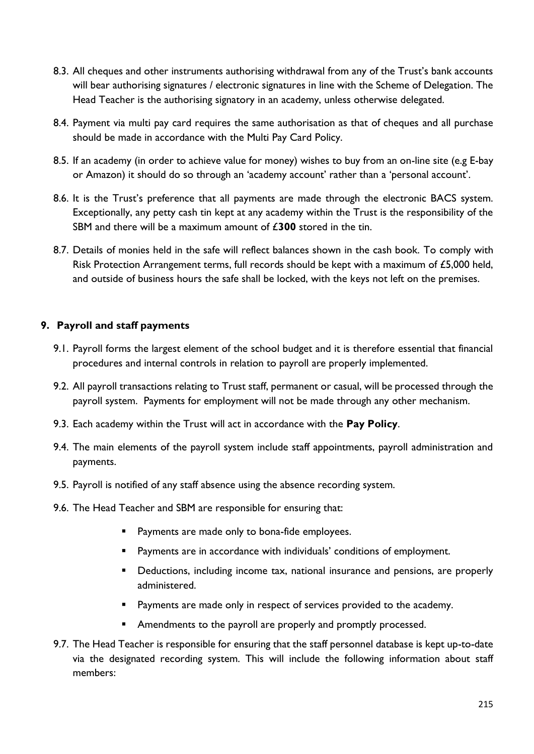- 8.3. All cheques and other instruments authorising withdrawal from any of the Trust's bank accounts will bear authorising signatures / electronic signatures in line with the Scheme of Delegation. The Head Teacher is the authorising signatory in an academy, unless otherwise delegated.
- 8.4. Payment via multi pay card requires the same authorisation as that of cheques and all purchase should be made in accordance with the Multi Pay Card Policy.
- 8.5. If an academy (in order to achieve value for money) wishes to buy from an on-line site (e.g E-bay or Amazon) it should do so through an 'academy account' rather than a 'personal account'.
- 8.6. It is the Trust's preference that all payments are made through the electronic BACS system. Exceptionally, any petty cash tin kept at any academy within the Trust is the responsibility of the SBM and there will be a maximum amount of £**300** stored in the tin.
- 8.7. Details of monies held in the safe will reflect balances shown in the cash book. To comply with Risk Protection Arrangement terms, full records should be kept with a maximum of £5,000 held, and outside of business hours the safe shall be locked, with the keys not left on the premises.

# <span id="page-15-0"></span>**9. Payroll and staff payments**

- 9.1. Payroll forms the largest element of the school budget and it is therefore essential that financial procedures and internal controls in relation to payroll are properly implemented.
- 9.2. All payroll transactions relating to Trust staff, permanent or casual, will be processed through the payroll system. Payments for employment will not be made through any other mechanism.
- 9.3. Each academy within the Trust will act in accordance with the **Pay Policy**.
- 9.4. The main elements of the payroll system include staff appointments, payroll administration and payments.
- 9.5. Payroll is notified of any staff absence using the absence recording system.
- 9.6. The Head Teacher and SBM are responsible for ensuring that:
	- Payments are made only to bona-fide employees.
	- Payments are in accordance with individuals' conditions of employment.
	- **E** Deductions, including income tax, national insurance and pensions, are properly administered.
	- Payments are made only in respect of services provided to the academy.
	- **E** Amendments to the payroll are properly and promptly processed.
- 9.7. The Head Teacher is responsible for ensuring that the staff personnel database is kept up-to-date via the designated recording system. This will include the following information about staff members: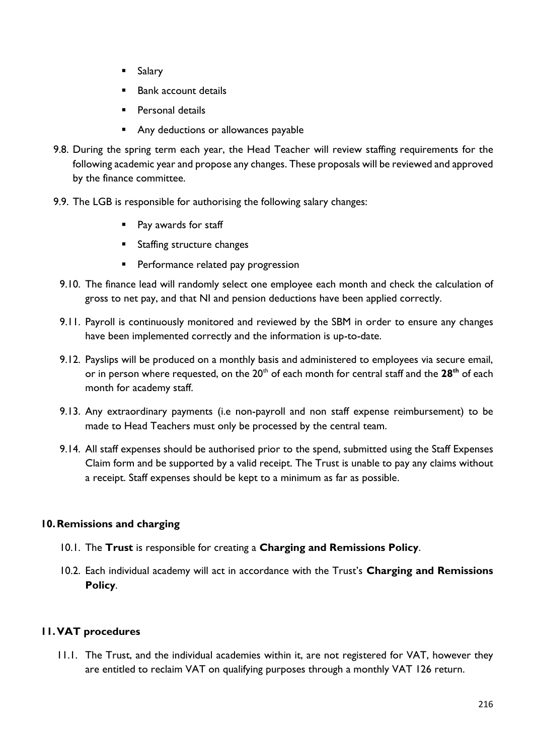- Salary
- Bank account details
- Personal details
- Any deductions or allowances payable
- 9.8. During the spring term each year, the Head Teacher will review staffing requirements for the following academic year and propose any changes. These proposals will be reviewed and approved by the finance committee.
- 9.9. The LGB is responsible for authorising the following salary changes:
	- Pay awards for staff
	- Staffing structure changes
	- **•** Performance related pay progression
	- 9.10. The finance lead will randomly select one employee each month and check the calculation of gross to net pay, and that NI and pension deductions have been applied correctly.
	- 9.11. Payroll is continuously monitored and reviewed by the SBM in order to ensure any changes have been implemented correctly and the information is up-to-date.
	- 9.12. Payslips will be produced on a monthly basis and administered to employees via secure email, or in person where requested, on the 20<sup>th</sup> of each month for central staff and the 28<sup>th</sup> of each month for academy staff.
	- 9.13. Any extraordinary payments (i.e non-payroll and non staff expense reimbursement) to be made to Head Teachers must only be processed by the central team.
	- 9.14. All staff expenses should be authorised prior to the spend, submitted using the Staff Expenses Claim form and be supported by a valid receipt. The Trust is unable to pay any claims without a receipt. Staff expenses should be kept to a minimum as far as possible.

# <span id="page-16-0"></span>**10.Remissions and charging**

- 10.1. The **Trust** is responsible for creating a **Charging and Remissions Policy**.
- 10.2. Each individual academy will act in accordance with the Trust's **Charging and Remissions Policy**.

# <span id="page-16-1"></span>**11.VAT procedures**

11.1. The Trust, and the individual academies within it, are not registered for VAT, however they are entitled to reclaim VAT on qualifying purposes through a monthly VAT 126 return.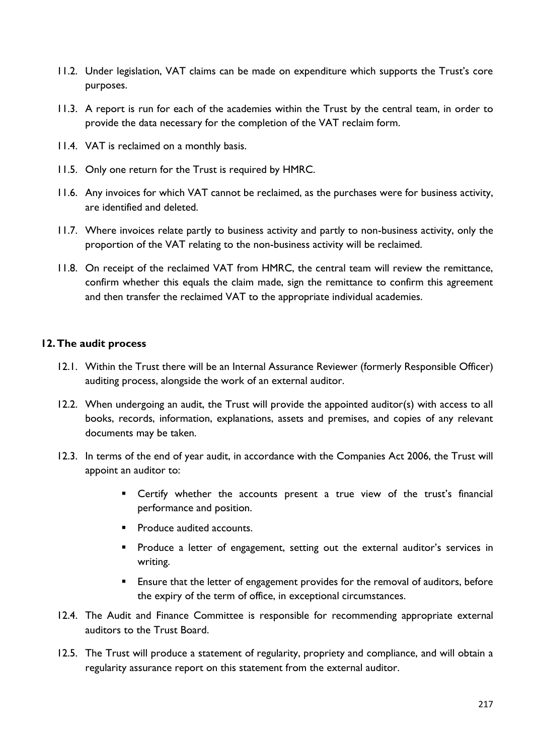- 11.2. Under legislation, VAT claims can be made on expenditure which supports the Trust's core purposes.
- 11.3. A report is run for each of the academies within the Trust by the central team, in order to provide the data necessary for the completion of the VAT reclaim form.
- 11.4. VAT is reclaimed on a monthly basis.
- 11.5. Only one return for the Trust is required by HMRC.
- 11.6. Any invoices for which VAT cannot be reclaimed, as the purchases were for business activity, are identified and deleted.
- 11.7. Where invoices relate partly to business activity and partly to non-business activity, only the proportion of the VAT relating to the non-business activity will be reclaimed.
- 11.8. On receipt of the reclaimed VAT from HMRC, the central team will review the remittance, confirm whether this equals the claim made, sign the remittance to confirm this agreement and then transfer the reclaimed VAT to the appropriate individual academies.

#### <span id="page-17-0"></span>**12.The audit process**

- 12.1. Within the Trust there will be an Internal Assurance Reviewer (formerly Responsible Officer) auditing process, alongside the work of an external auditor.
- 12.2. When undergoing an audit, the Trust will provide the appointed auditor(s) with access to all books, records, information, explanations, assets and premises, and copies of any relevant documents may be taken.
- 12.3. In terms of the end of year audit, in accordance with the Companies Act 2006, the Trust will appoint an auditor to:
	- **E** Certify whether the accounts present a true view of the trust's financial performance and position.
	- Produce audited accounts.
	- **•** Produce a letter of engagement, setting out the external auditor's services in writing.
	- Ensure that the letter of engagement provides for the removal of auditors, before the expiry of the term of office, in exceptional circumstances.
- 12.4. The Audit and Finance Committee is responsible for recommending appropriate external auditors to the Trust Board.
- 12.5. The Trust will produce a statement of regularity, propriety and compliance, and will obtain a regularity assurance report on this statement from the external auditor.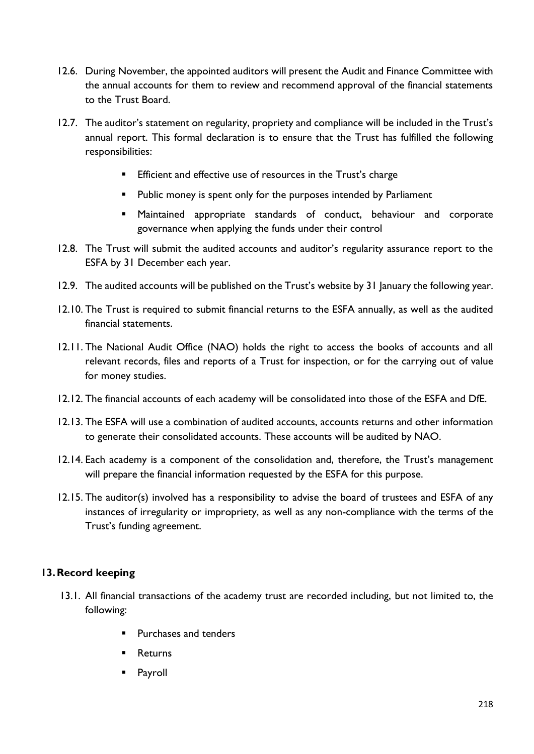- 12.6. During November, the appointed auditors will present the Audit and Finance Committee with the annual accounts for them to review and recommend approval of the financial statements to the Trust Board.
- 12.7. The auditor's statement on regularity, propriety and compliance will be included in the Trust's annual report. This formal declaration is to ensure that the Trust has fulfilled the following responsibilities:
	- **Efficient and effective use of resources in the Trust's charge**
	- Public money is spent only for the purposes intended by Parliament
	- Maintained appropriate standards of conduct, behaviour and corporate governance when applying the funds under their control
- 12.8. The Trust will submit the audited accounts and auditor's regularity assurance report to the ESFA by 31 December each year.
- 12.9. The audited accounts will be published on the Trust's website by 31 January the following year.
- 12.10. The Trust is required to submit financial returns to the ESFA annually, as well as the audited financial statements.
- 12.11. The National Audit Office (NAO) holds the right to access the books of accounts and all relevant records, files and reports of a Trust for inspection, or for the carrying out of value for money studies.
- 12.12. The financial accounts of each academy will be consolidated into those of the ESFA and DfE.
- 12.13. The ESFA will use a combination of audited accounts, accounts returns and other information to generate their consolidated accounts. These accounts will be audited by NAO.
- 12.14. Each academy is a component of the consolidation and, therefore, the Trust's management will prepare the financial information requested by the ESFA for this purpose.
- 12.15. The auditor(s) involved has a responsibility to advise the board of trustees and ESFA of any instances of irregularity or impropriety, as well as any non-compliance with the terms of the Trust's funding agreement.

# <span id="page-18-0"></span>**13.Record keeping**

- 13.1. All financial transactions of the academy trust are recorded including, but not limited to, the following:
	- Purchases and tenders
	- Returns
	- Payroll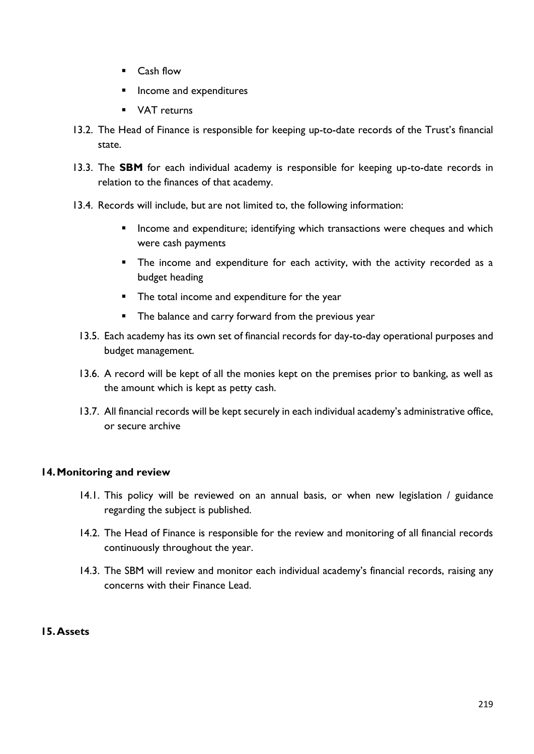- Cash flow
- Income and expenditures
- VAT returns
- 13.2. The Head of Finance is responsible for keeping up-to-date records of the Trust's financial state.
- 13.3. The **SBM** for each individual academy is responsible for keeping up-to-date records in relation to the finances of that academy.
- 13.4. Records will include, but are not limited to, the following information:
	- **E** Income and expenditure; identifying which transactions were cheques and which were cash payments
	- The income and expenditure for each activity, with the activity recorded as a budget heading
	- The total income and expenditure for the year
	- **•** The balance and carry forward from the previous year
	- 13.5. Each academy has its own set of financial records for day-to-day operational purposes and budget management.
	- 13.6. A record will be kept of all the monies kept on the premises prior to banking, as well as the amount which is kept as petty cash.
	- 13.7. All financial records will be kept securely in each individual academy's administrative office, or secure archive

# <span id="page-19-0"></span>**14.Monitoring and review**

- 14.1. This policy will be reviewed on an annual basis, or when new legislation / guidance regarding the subject is published.
- 14.2. The Head of Finance is responsible for the review and monitoring of all financial records continuously throughout the year.
- 14.3. The SBM will review and monitor each individual academy's financial records, raising any concerns with their Finance Lead.

# **15.Assets**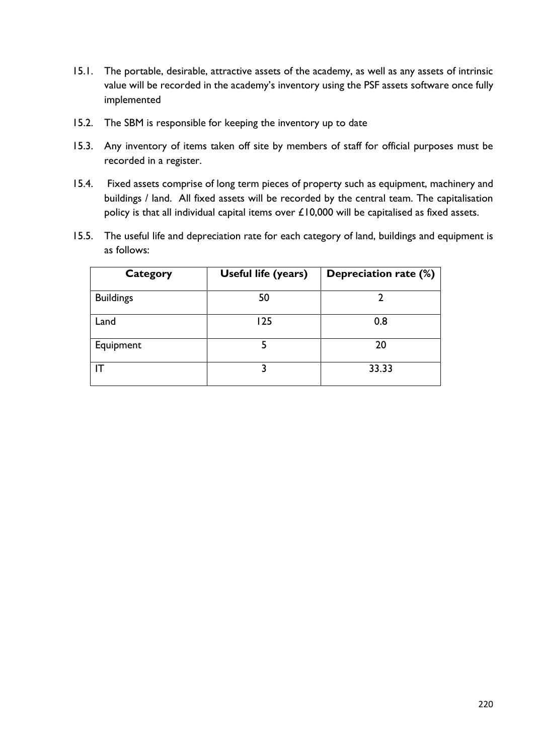- 15.1. The portable, desirable, attractive assets of the academy, as well as any assets of intrinsic value will be recorded in the academy's inventory using the PSF assets software once fully implemented
- 15.2. The SBM is responsible for keeping the inventory up to date
- 15.3. Any inventory of items taken off site by members of staff for official purposes must be recorded in a register.
- 15.4. Fixed assets comprise of long term pieces of property such as equipment, machinery and buildings / land. All fixed assets will be recorded by the central team. The capitalisation policy is that all individual capital items over £10,000 will be capitalised as fixed assets.
- 15.5. The useful life and depreciation rate for each category of land, buildings and equipment is as follows:

<span id="page-20-0"></span>

| Category         | Useful life (years) | Depreciation rate (%) |
|------------------|---------------------|-----------------------|
| <b>Buildings</b> | 50                  |                       |
| Land             | 125                 | 0.8                   |
| Equipment        | 5                   | 20                    |
|                  |                     | 33.33                 |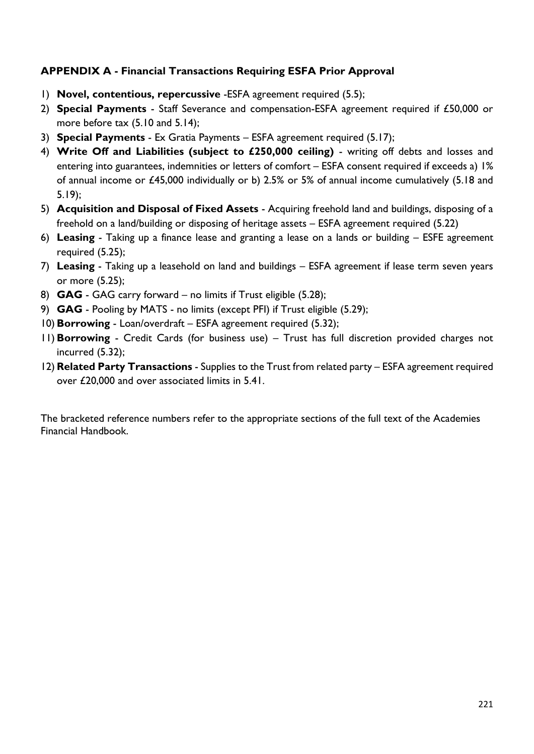# **APPENDIX A - Financial Transactions Requiring ESFA Prior Approval**

- 1) **Novel, contentious, repercussive** -ESFA agreement required (5.5);
- 2) **Special Payments** Staff Severance and compensation-ESFA agreement required if £50,000 or more before tax (5.10 and 5.14);
- 3) **Special Payments** Ex Gratia Payments ESFA agreement required (5.17);
- 4) **Write Off and Liabilities (subject to £250,000 ceiling)** writing off debts and losses and entering into guarantees, indemnities or letters of comfort – ESFA consent required if exceeds a) 1% of annual income or £45,000 individually or b) 2.5% or 5% of annual income cumulatively (5.18 and 5.19);
- 5) **Acquisition and Disposal of Fixed Assets** Acquiring freehold land and buildings, disposing of a freehold on a land/building or disposing of heritage assets – ESFA agreement required (5.22)
- 6) **Leasing** Taking up a finance lease and granting a lease on a lands or building ESFE agreement required (5.25);
- 7) **Leasing** Taking up a leasehold on land and buildings ESFA agreement if lease term seven years or more (5.25);
- 8) **GAG** GAG carry forward no limits if Trust eligible (5.28);
- 9) **GAG** Pooling by MATS no limits (except PFI) if Trust eligible (5.29);
- 10) **Borrowing** Loan/overdraft ESFA agreement required (5.32);
- 11) **Borrowing** Credit Cards (for business use) Trust has full discretion provided charges not incurred (5.32);
- 12) **Related Party Transactions** Supplies to the Trust from related party ESFA agreement required over £20,000 and over associated limits in 5.41.

The bracketed reference numbers refer to the appropriate sections of the full text of the Academies Financial Handbook.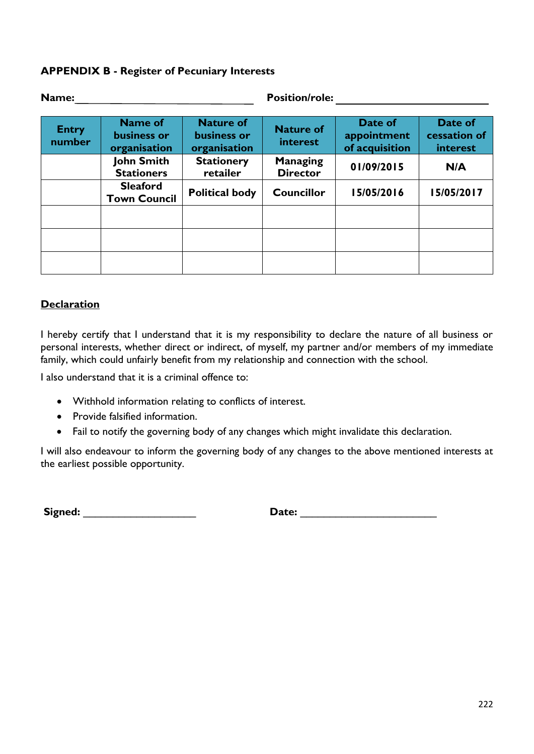### **APPENDIX B - Register of Pecuniary Interests**

| Name:                  |                                        |                                                 | <b>Position/role:</b>              |                                          |                                     |
|------------------------|----------------------------------------|-------------------------------------------------|------------------------------------|------------------------------------------|-------------------------------------|
| <b>Entry</b><br>number | Name of<br>business or<br>organisation | <b>Nature of</b><br>business or<br>organisation | <b>Nature of</b><br>interest       | Date of<br>appointment<br>of acquisition | Date of<br>cessation of<br>interest |
|                        | <b>John Smith</b><br><b>Stationers</b> | <b>Stationery</b><br>retailer                   | <b>Managing</b><br><b>Director</b> | 01/09/2015                               | N/A                                 |
|                        | <b>Sleaford</b><br><b>Town Council</b> | <b>Political body</b>                           | <b>Councillor</b>                  | 15/05/2016                               | 15/05/2017                          |
|                        |                                        |                                                 |                                    |                                          |                                     |
|                        |                                        |                                                 |                                    |                                          |                                     |
|                        |                                        |                                                 |                                    |                                          |                                     |

### **Declaration**

I hereby certify that I understand that it is my responsibility to declare the nature of all business or personal interests, whether direct or indirect, of myself, my partner and/or members of my immediate family, which could unfairly benefit from my relationship and connection with the school.

I also understand that it is a criminal offence to:

- Withhold information relating to conflicts of interest.
- Provide falsified information.
- Fail to notify the governing body of any changes which might invalidate this declaration.

I will also endeavour to inform the governing body of any changes to the above mentioned interests at the earliest possible opportunity.

**Signed:** \_\_\_\_\_\_\_\_\_\_\_\_\_\_\_\_\_\_\_ **Date:** \_\_\_\_\_\_\_\_\_\_\_\_\_\_\_\_\_\_\_\_\_\_\_

| <b>Date:</b> |  |
|--------------|--|
|              |  |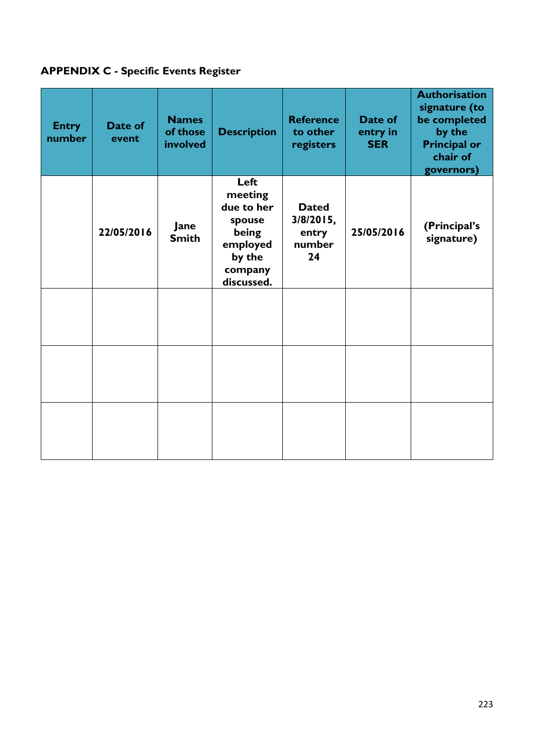# <span id="page-23-0"></span>**APPENDIX C - Specific Events Register**

| <b>Entry</b><br>number | Date of<br>event | <b>Names</b><br>of those<br>involved | <b>Description</b>                                                                              | <b>Reference</b><br>to other<br>registers          | Date of<br>entry in<br><b>SER</b> | <b>Authorisation</b><br>signature (to<br>be completed<br>by the<br><b>Principal or</b><br>chair of<br>governors) |
|------------------------|------------------|--------------------------------------|-------------------------------------------------------------------------------------------------|----------------------------------------------------|-----------------------------------|------------------------------------------------------------------------------------------------------------------|
|                        | 22/05/2016       | Jane<br><b>Smith</b>                 | Left<br>meeting<br>due to her<br>spouse<br>being<br>employed<br>by the<br>company<br>discussed. | <b>Dated</b><br>3/8/2015,<br>entry<br>number<br>24 | 25/05/2016                        | (Principal's<br>signature)                                                                                       |
|                        |                  |                                      |                                                                                                 |                                                    |                                   |                                                                                                                  |
|                        |                  |                                      |                                                                                                 |                                                    |                                   |                                                                                                                  |
|                        |                  |                                      |                                                                                                 |                                                    |                                   |                                                                                                                  |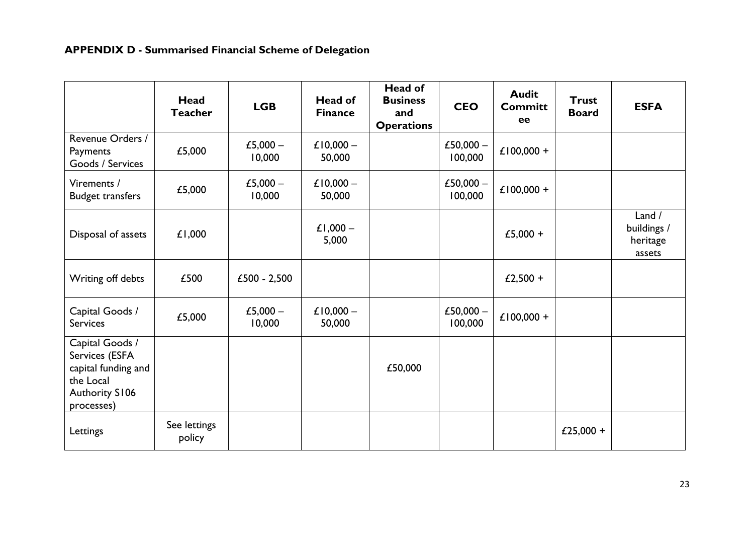# **APPENDIX D - Summarised Financial Scheme of Delegation**

|                                                                                                              | Head<br><b>Teacher</b> | <b>LGB</b>           | <b>Head of</b><br><b>Finance</b> | Head of<br><b>Business</b><br>and<br><b>Operations</b> | <b>CEO</b>             | <b>Audit</b><br><b>Committ</b><br>ee | <b>Trust</b><br><b>Board</b> | <b>ESFA</b>                                 |
|--------------------------------------------------------------------------------------------------------------|------------------------|----------------------|----------------------------------|--------------------------------------------------------|------------------------|--------------------------------------|------------------------------|---------------------------------------------|
| Revenue Orders /<br>Payments<br>Goods / Services                                                             | £5,000                 | £5,000 $-$<br>10,000 | £10,000 $-$<br>50,000            |                                                        | £50,000 $-$<br>100,000 | £100,000 +                           |                              |                                             |
| Virements /<br><b>Budget transfers</b>                                                                       | £5,000                 | £5,000 $-$<br>10,000 | £10,000 $-$<br>50,000            |                                                        | £50,000 $-$<br>100,000 | £100,000 +                           |                              |                                             |
| Disposal of assets                                                                                           | £1,000                 |                      | £1,000 $-$<br>5,000              |                                                        |                        | £5,000 +                             |                              | Land /<br>buildings /<br>heritage<br>assets |
| Writing off debts                                                                                            | £500                   | $£500 - 2,500$       |                                  |                                                        |                        | £2,500 +                             |                              |                                             |
| Capital Goods /<br><b>Services</b>                                                                           | £5,000                 | £5,000 $-$<br>10,000 | £10,000 $-$<br>50,000            |                                                        | £50,000 $-$<br>100,000 | £100,000 +                           |                              |                                             |
| Capital Goods /<br>Services (ESFA<br>capital funding and<br>the Local<br><b>Authority S106</b><br>processes) |                        |                      |                                  | £50,000                                                |                        |                                      |                              |                                             |
| Lettings                                                                                                     | See lettings<br>policy |                      |                                  |                                                        |                        |                                      | £25,000 +                    |                                             |